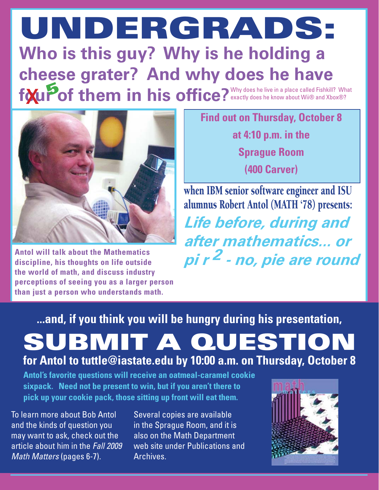## **Who is this guy? Why is he holding a cheese grater? And why does he have**  f**our of them in his office?** Why does he live in a place called Fishkill? What **UNDERGRADS:** x **<sup>5</sup>**



**Antol will talk about the Mathematics discipline, his thoughts on life outside the world of math, and discuss industry perceptions of seeing you as a larger person than just a person who understands math.**

**Find out on Thursday, October 8** 

**at 4:10 p.m. in the Sprague Room**

**(400 Carver)**

*Life before, during and after mathematics... or pi r 2 - no, pie are round* when IBM senior software engineer and ISU alumnus Robert Antol (MATH '78) presents:

**...and, if you think you will be hungry during his presentation, SUBMIT A QUESTION for Antol to tuttle@iastate.edu by 10:00 a.m. on Thursday, October 8**

**Antol's favorite questions will receive an oatmeal-caramel cookie sixpack. Need not be present to win, but if you aren't there to pick up your cookie pack, those sitting up front will eat them.**

To learn more about Bob Antol and the kinds of question you may want to ask, check out the article about him in the *Fall 2009 Math Matters* (pages 6-7).

Several copies are available in the Sprague Room, and it is also on the Math Department web site under Publications and Archives.